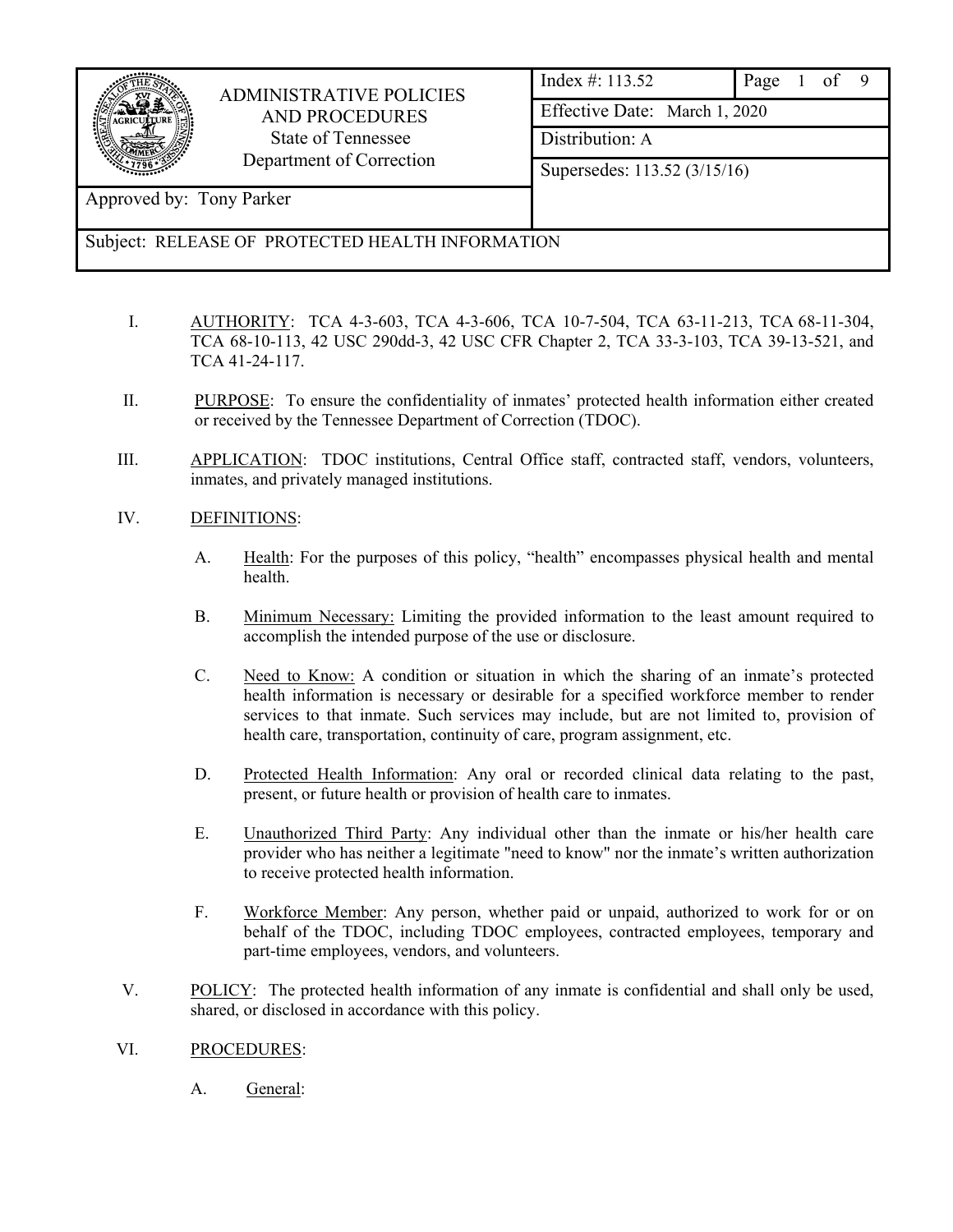|                          | <b>ADMINISTRATIVE POLICIES</b>                   | Index $\#: 113.52$<br>Page    |  |  |  |  |  |  |  |
|--------------------------|--------------------------------------------------|-------------------------------|--|--|--|--|--|--|--|
| <b>AND PROCEDURES</b>    |                                                  | Effective Date: March 1, 2020 |  |  |  |  |  |  |  |
|                          | State of Tennessee<br>Department of Correction   | Distribution: A               |  |  |  |  |  |  |  |
|                          |                                                  | Supersedes: 113.52 (3/15/16)  |  |  |  |  |  |  |  |
| Approved by: Tony Parker |                                                  |                               |  |  |  |  |  |  |  |
|                          | Subject: RELEASE OF PROTECTED HEALTH INFORMATION |                               |  |  |  |  |  |  |  |

- I. AUTHORITY: TCA 4-3-603, TCA 4-3-606, TCA 10-7-504, TCA 63-11-213, TCA 68-11-304, TCA 68-10-113, 42 USC 290dd-3, 42 USC CFR Chapter 2, TCA 33-3-103, TCA 39-13-521, and TCA 41-24-117.
- II. PURPOSE: To ensure the confidentiality of inmates' protected health information either created or received by the Tennessee Department of Correction (TDOC).
- III. APPLICATION: TDOC institutions, Central Office staff, contracted staff, vendors, volunteers, inmates, and privately managed institutions.
- IV. DEFINITIONS:
	- A. Health: For the purposes of this policy, "health" encompasses physical health and mental health.
	- B. Minimum Necessary: Limiting the provided information to the least amount required to accomplish the intended purpose of the use or disclosure.
	- C. Need to Know: A condition or situation in which the sharing of an inmate's protected health information is necessary or desirable for a specified workforce member to render services to that inmate. Such services may include, but are not limited to, provision of health care, transportation, continuity of care, program assignment, etc.
	- D. Protected Health Information: Any oral or recorded clinical data relating to the past, present, or future health or provision of health care to inmates.
	- E. Unauthorized Third Party: Any individual other than the inmate or his/her health care provider who has neither a legitimate "need to know" nor the inmate's written authorization to receive protected health information.
	- F. Workforce Member: Any person, whether paid or unpaid, authorized to work for or on behalf of the TDOC, including TDOC employees, contracted employees, temporary and part-time employees, vendors, and volunteers.
- V. POLICY: The protected health information of any inmate is confidential and shall only be used, shared, or disclosed in accordance with this policy.
- VI. PROCEDURES:
	- A. General: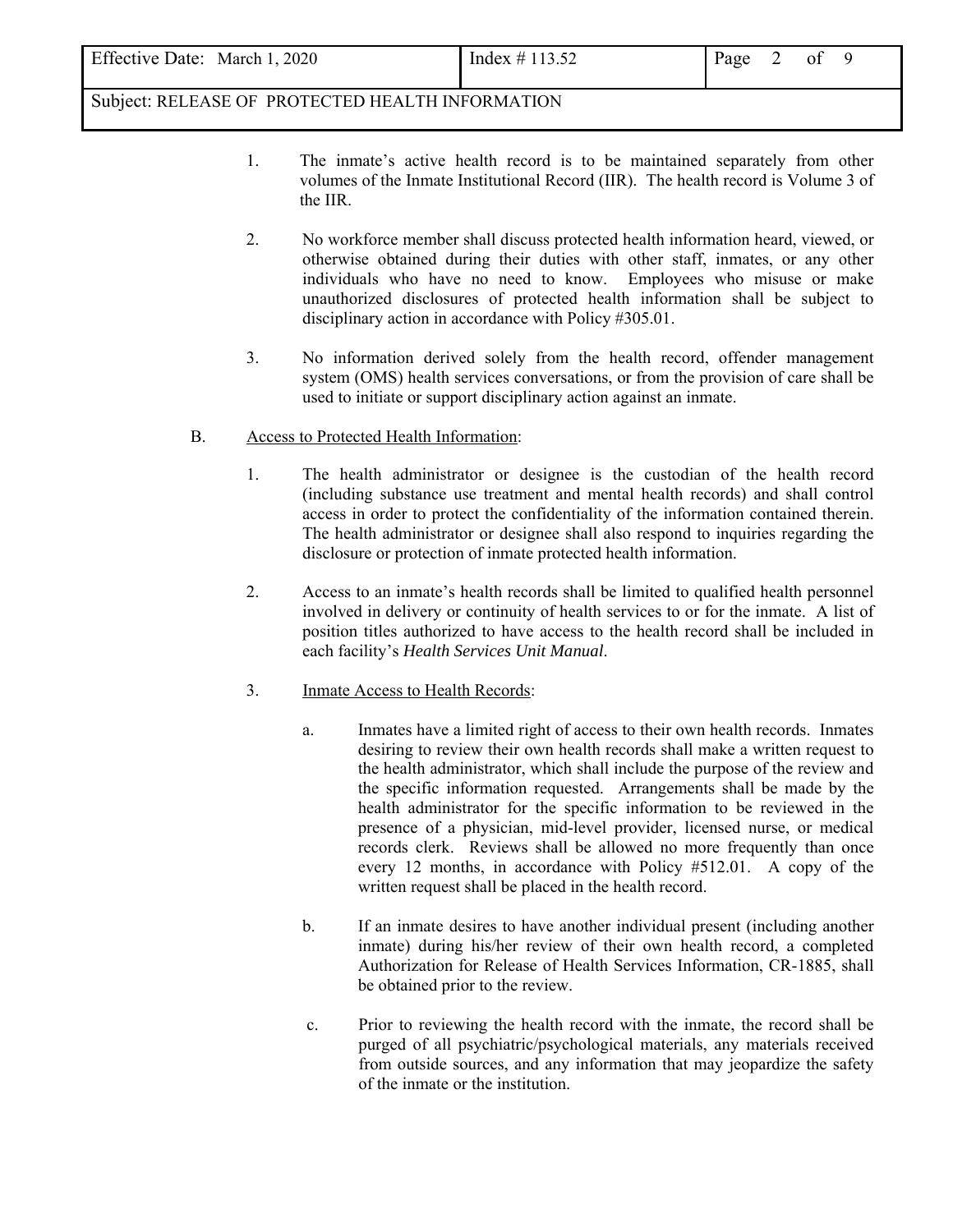| Effective Date: March 1, 2020<br>Index $\#$ 113.52<br>Page |
|------------------------------------------------------------|
|------------------------------------------------------------|

- 1. The inmate's active health record is to be maintained separately from other volumes of the Inmate Institutional Record (IIR). The health record is Volume 3 of the IIR.
- 2. No workforce member shall discuss protected health information heard, viewed, or otherwise obtained during their duties with other staff, inmates, or any other individuals who have no need to know. Employees who misuse or make unauthorized disclosures of protected health information shall be subject to disciplinary action in accordance with Policy #305.01.
- 3. No information derived solely from the health record, offender management system (OMS) health services conversations, or from the provision of care shall be used to initiate or support disciplinary action against an inmate.
- B. Access to Protected Health Information:
	- 1. The health administrator or designee is the custodian of the health record (including substance use treatment and mental health records) and shall control access in order to protect the confidentiality of the information contained therein. The health administrator or designee shall also respond to inquiries regarding the disclosure or protection of inmate protected health information.
	- 2. Access to an inmate's health records shall be limited to qualified health personnel involved in delivery or continuity of health services to or for the inmate. A list of position titles authorized to have access to the health record shall be included in each facility's *Health Services Unit Manual*.
	- 3. Inmate Access to Health Records:
		- a. Inmates have a limited right of access to their own health records. Inmates desiring to review their own health records shall make a written request to the health administrator, which shall include the purpose of the review and the specific information requested. Arrangements shall be made by the health administrator for the specific information to be reviewed in the presence of a physician, mid-level provider, licensed nurse, or medical records clerk. Reviews shall be allowed no more frequently than once every 12 months, in accordance with Policy #512.01. A copy of the written request shall be placed in the health record.
		- b. If an inmate desires to have another individual present (including another inmate) during his/her review of their own health record, a completed Authorization for Release of Health Services Information, CR-1885, shall be obtained prior to the review.
		- c. Prior to reviewing the health record with the inmate, the record shall be purged of all psychiatric/psychological materials, any materials received from outside sources, and any information that may jeopardize the safety of the inmate or the institution.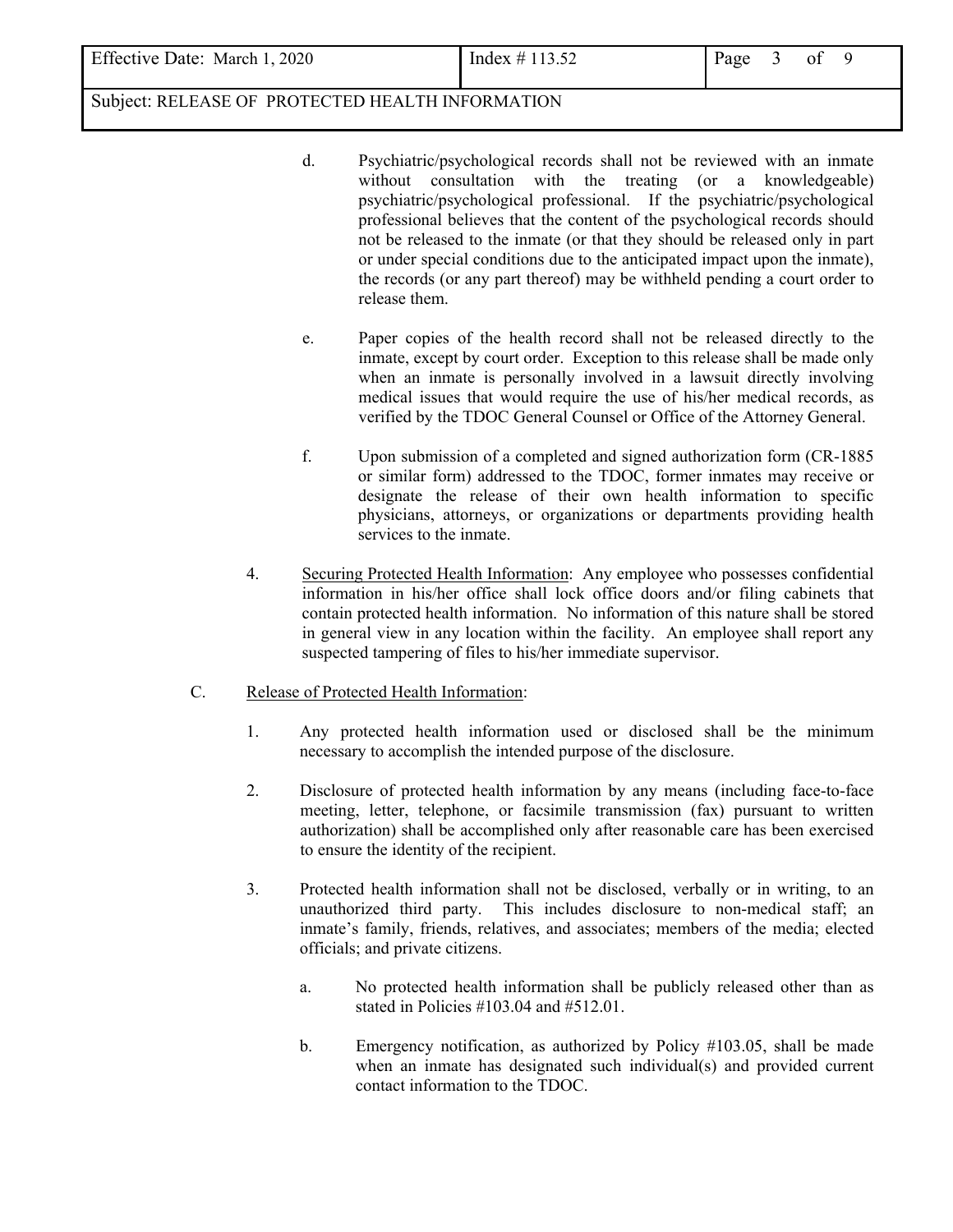- d. Psychiatric/psychological records shall not be reviewed with an inmate without consultation with the treating (or a knowledgeable) psychiatric/psychological professional. If the psychiatric/psychological professional believes that the content of the psychological records should not be released to the inmate (or that they should be released only in part or under special conditions due to the anticipated impact upon the inmate), the records (or any part thereof) may be withheld pending a court order to release them.
- e. Paper copies of the health record shall not be released directly to the inmate, except by court order. Exception to this release shall be made only when an inmate is personally involved in a lawsuit directly involving medical issues that would require the use of his/her medical records, as verified by the TDOC General Counsel or Office of the Attorney General.
- f. Upon submission of a completed and signed authorization form (CR-1885 or similar form) addressed to the TDOC, former inmates may receive or designate the release of their own health information to specific physicians, attorneys, or organizations or departments providing health services to the inmate.
- 4. Securing Protected Health Information: Any employee who possesses confidential information in his/her office shall lock office doors and/or filing cabinets that contain protected health information. No information of this nature shall be stored in general view in any location within the facility. An employee shall report any suspected tampering of files to his/her immediate supervisor.
- C. Release of Protected Health Information:
	- 1. Any protected health information used or disclosed shall be the minimum necessary to accomplish the intended purpose of the disclosure.
	- 2. Disclosure of protected health information by any means (including face-to-face meeting, letter, telephone, or facsimile transmission (fax) pursuant to written authorization) shall be accomplished only after reasonable care has been exercised to ensure the identity of the recipient.
	- 3. Protected health information shall not be disclosed, verbally or in writing, to an unauthorized third party. This includes disclosure to non-medical staff; an inmate's family, friends, relatives, and associates; members of the media; elected officials; and private citizens.
		- a. No protected health information shall be publicly released other than as stated in Policies #103.04 and #512.01.
		- b. Emergency notification, as authorized by Policy #103.05, shall be made when an inmate has designated such individual(s) and provided current contact information to the TDOC.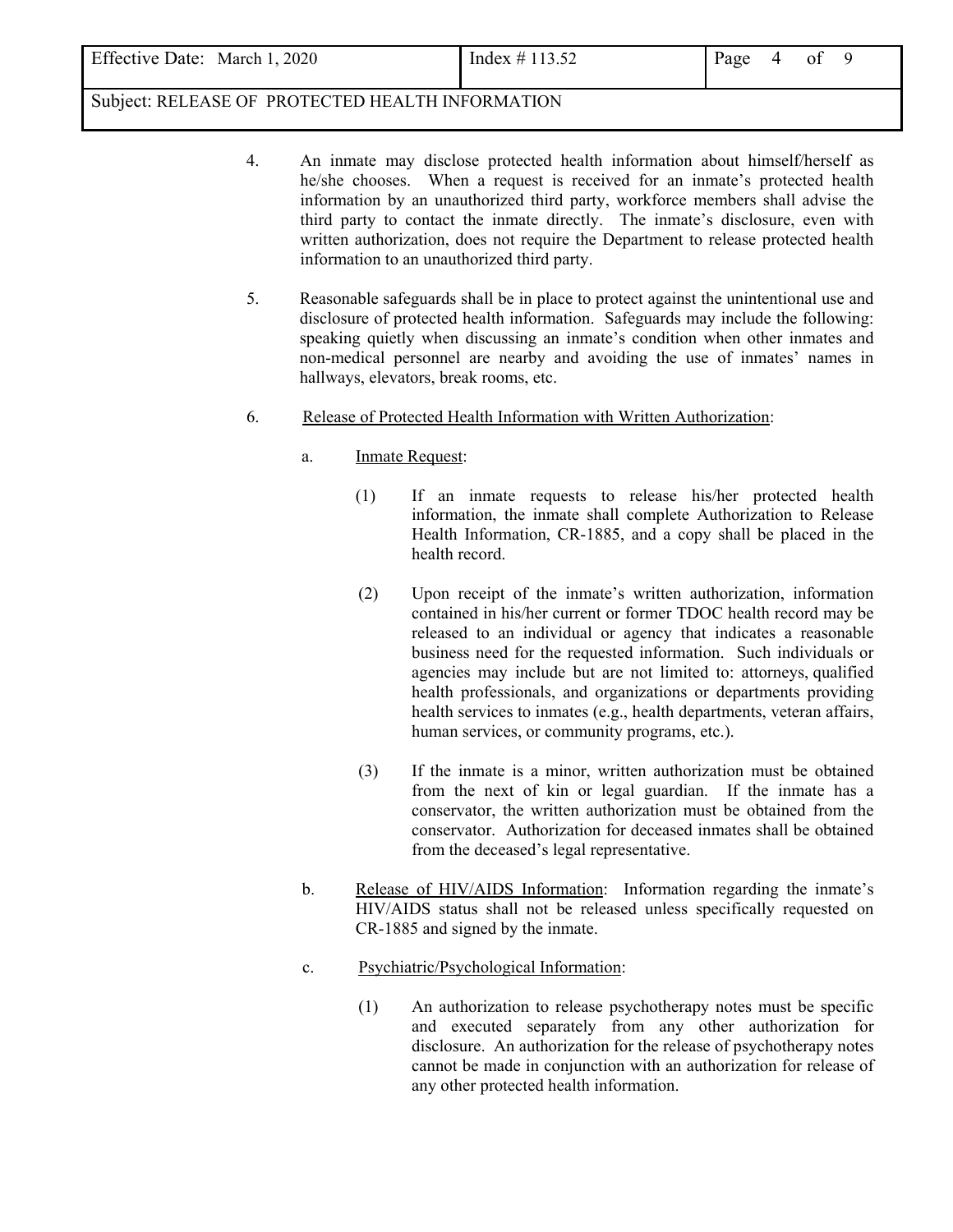| <b>Effective Date:</b><br>, 2020<br>March 1 | Index $\#$ 113.52 | Page |  | Οİ |  |
|---------------------------------------------|-------------------|------|--|----|--|
|---------------------------------------------|-------------------|------|--|----|--|

- 4. An inmate may disclose protected health information about himself/herself as he/she chooses. When a request is received for an inmate's protected health information by an unauthorized third party, workforce members shall advise the third party to contact the inmate directly. The inmate's disclosure, even with written authorization, does not require the Department to release protected health information to an unauthorized third party.
- 5. Reasonable safeguards shall be in place to protect against the unintentional use and disclosure of protected health information. Safeguards may include the following: speaking quietly when discussing an inmate's condition when other inmates and non-medical personnel are nearby and avoiding the use of inmates' names in hallways, elevators, break rooms, etc.
- 6. Release of Protected Health Information with Written Authorization:
	- a. Inmate Request:
		- (1) If an inmate requests to release his/her protected health information, the inmate shall complete Authorization to Release Health Information, CR-1885, and a copy shall be placed in the health record.
		- (2) Upon receipt of the inmate's written authorization, information contained in his/her current or former TDOC health record may be released to an individual or agency that indicates a reasonable business need for the requested information. Such individuals or agencies may include but are not limited to: attorneys, qualified health professionals, and organizations or departments providing health services to inmates (e.g., health departments, veteran affairs, human services, or community programs, etc.).
		- (3) If the inmate is a minor, written authorization must be obtained from the next of kin or legal guardian. If the inmate has a conservator, the written authorization must be obtained from the conservator. Authorization for deceased inmates shall be obtained from the deceased's legal representative.
	- b. Release of HIV/AIDS Information: Information regarding the inmate's HIV/AIDS status shall not be released unless specifically requested on CR-1885 and signed by the inmate.
	- c. Psychiatric/Psychological Information:
		- (1) An authorization to release psychotherapy notes must be specific and executed separately from any other authorization for disclosure. An authorization for the release of psychotherapy notes cannot be made in conjunction with an authorization for release of any other protected health information.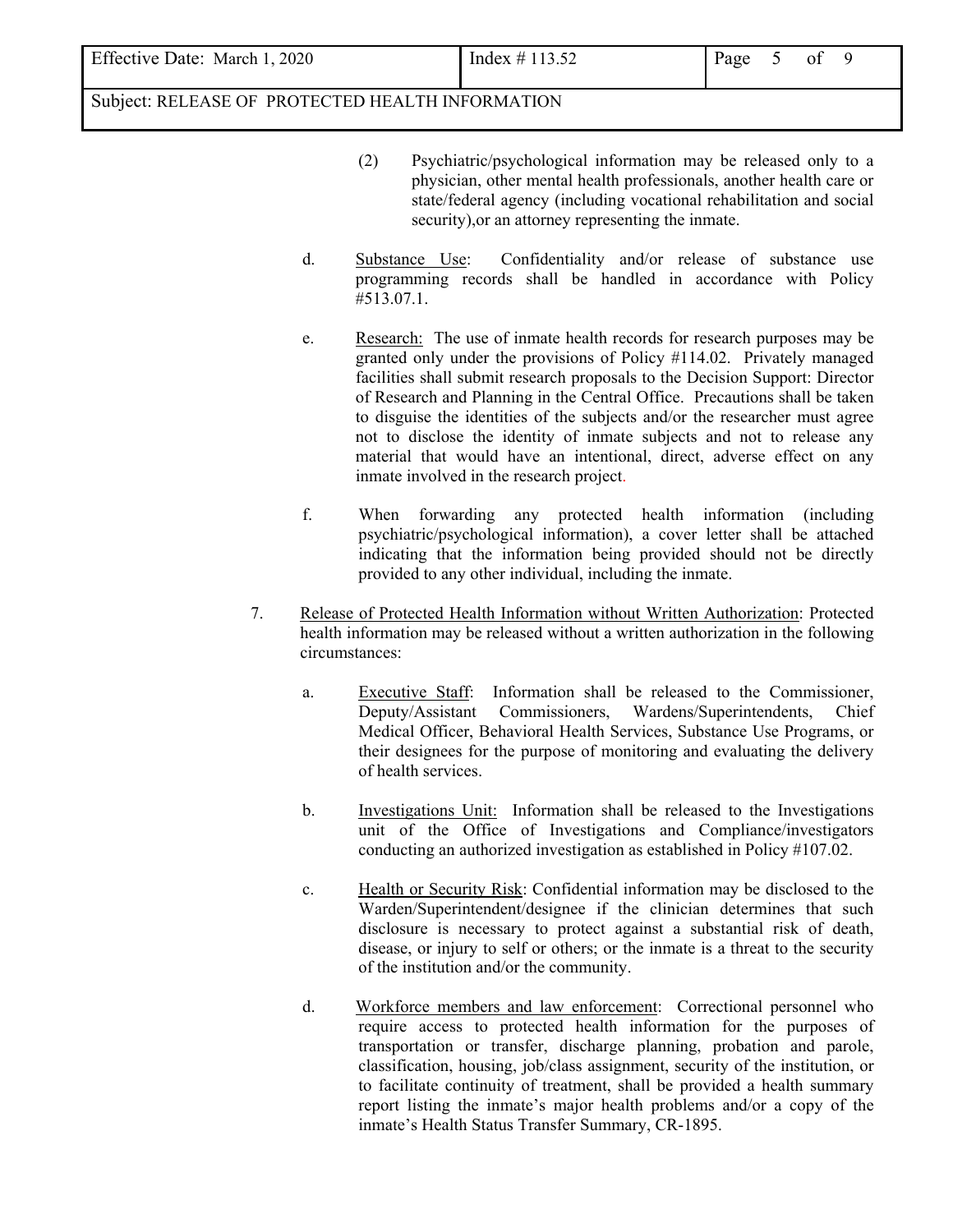- (2) Psychiatric/psychological information may be released only to a physician, other mental health professionals, another health care or state/federal agency (including vocational rehabilitation and social security),or an attorney representing the inmate.
- d. Substance Use: Confidentiality and/or release of substance use programming records shall be handled in accordance with Policy #513.07.1.
- e. Research: The use of inmate health records for research purposes may be granted only under the provisions of Policy #114.02. Privately managed facilities shall submit research proposals to the Decision Support: Director of Research and Planning in the Central Office. Precautions shall be taken to disguise the identities of the subjects and/or the researcher must agree not to disclose the identity of inmate subjects and not to release any material that would have an intentional, direct, adverse effect on any inmate involved in the research project.
- f. When forwarding any protected health information (including psychiatric/psychological information), a cover letter shall be attached indicating that the information being provided should not be directly provided to any other individual, including the inmate.
- 7. Release of Protected Health Information without Written Authorization: Protected health information may be released without a written authorization in the following circumstances:
	- a. Executive Staff: Information shall be released to the Commissioner, Deputy/Assistant Commissioners, Wardens/Superintendents, Chief Medical Officer, Behavioral Health Services, Substance Use Programs, or their designees for the purpose of monitoring and evaluating the delivery of health services.
	- b. Investigations Unit: Information shall be released to the Investigations unit of the Office of Investigations and Compliance/investigators conducting an authorized investigation as established in Policy #107.02.
	- c. Health or Security Risk: Confidential information may be disclosed to the Warden/Superintendent/designee if the clinician determines that such disclosure is necessary to protect against a substantial risk of death, disease, or injury to self or others; or the inmate is a threat to the security of the institution and/or the community.
	- d. Workforce members and law enforcement: Correctional personnel who require access to protected health information for the purposes of transportation or transfer, discharge planning, probation and parole, classification, housing, job/class assignment, security of the institution, or to facilitate continuity of treatment, shall be provided a health summary report listing the inmate's major health problems and/or a copy of the inmate's Health Status Transfer Summary, CR-1895.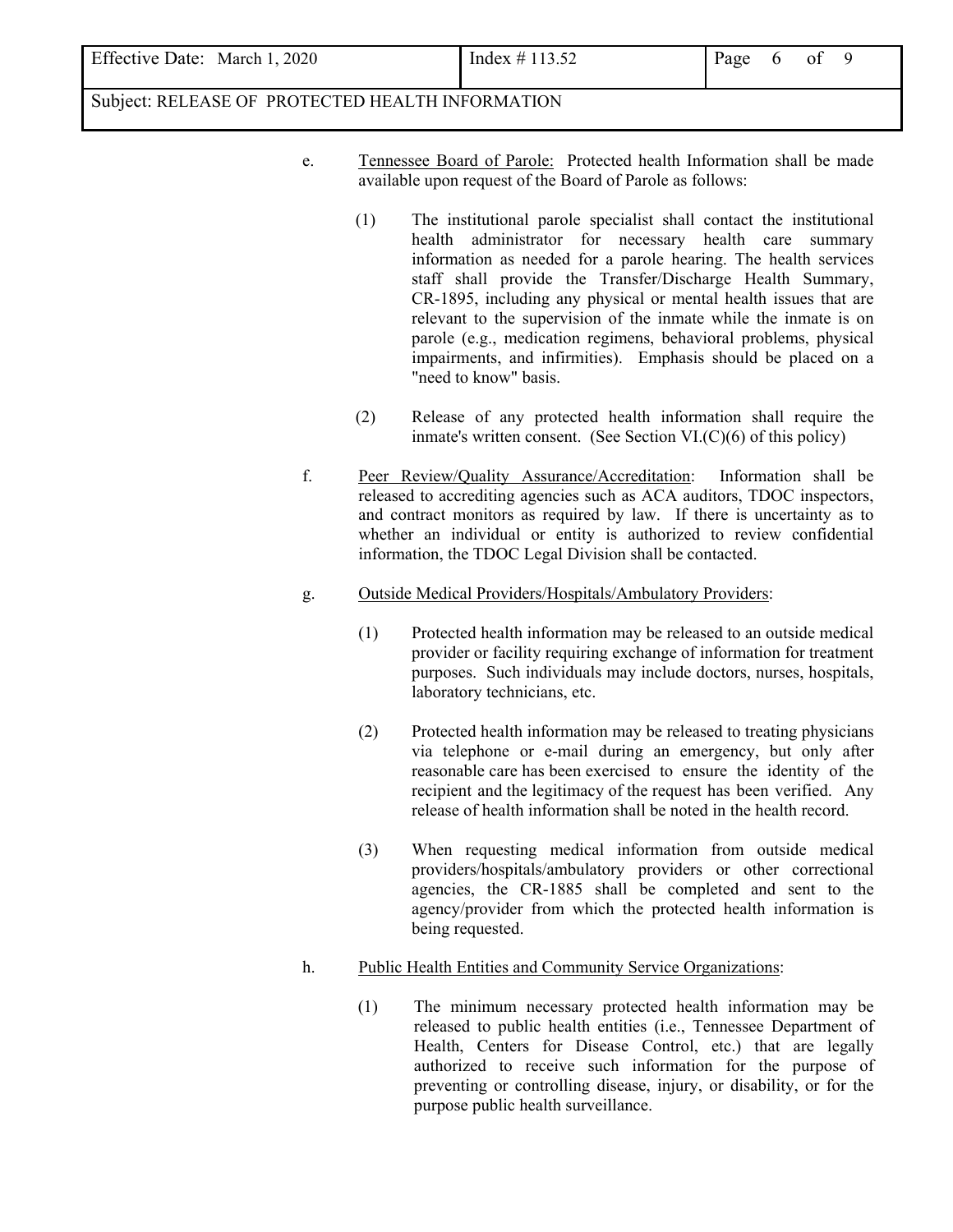| <b>Effective Date:</b><br>2020<br>March 1 | Index $\ddagger$<br>$\overline{ }$<br>10.J <i>L</i><br>_____ | age |  | ot |  |
|-------------------------------------------|--------------------------------------------------------------|-----|--|----|--|
|-------------------------------------------|--------------------------------------------------------------|-----|--|----|--|

- e. Tennessee Board of Parole: Protected health Information shall be made available upon request of the Board of Parole as follows:
	- (1) The institutional parole specialist shall contact the institutional health administrator for necessary health care summary information as needed for a parole hearing. The health services staff shall provide the Transfer/Discharge Health Summary, CR-1895, including any physical or mental health issues that are relevant to the supervision of the inmate while the inmate is on parole (e.g., medication regimens, behavioral problems, physical impairments, and infirmities). Emphasis should be placed on a "need to know" basis.
	- (2) Release of any protected health information shall require the inmate's written consent. (See Section  $VI(C)(6)$  of this policy)
- f. Peer Review/Quality Assurance/Accreditation: Information shall be released to accrediting agencies such as ACA auditors, TDOC inspectors, and contract monitors as required by law. If there is uncertainty as to whether an individual or entity is authorized to review confidential information, the TDOC Legal Division shall be contacted.
- g. Outside Medical Providers/Hospitals/Ambulatory Providers:
	- (1) Protected health information may be released to an outside medical provider or facility requiring exchange of information for treatment purposes. Such individuals may include doctors, nurses, hospitals, laboratory technicians, etc.
	- (2) Protected health information may be released to treating physicians via telephone or e-mail during an emergency, but only after reasonable care has been exercised to ensure the identity of the recipient and the legitimacy of the request has been verified. Any release of health information shall be noted in the health record.
	- (3) When requesting medical information from outside medical providers/hospitals/ambulatory providers or other correctional agencies, the CR-1885 shall be completed and sent to the agency/provider from which the protected health information is being requested.
- h. Public Health Entities and Community Service Organizations:
	- (1) The minimum necessary protected health information may be released to public health entities (i.e., Tennessee Department of Health, Centers for Disease Control, etc.) that are legally authorized to receive such information for the purpose of preventing or controlling disease, injury, or disability, or for the purpose public health surveillance.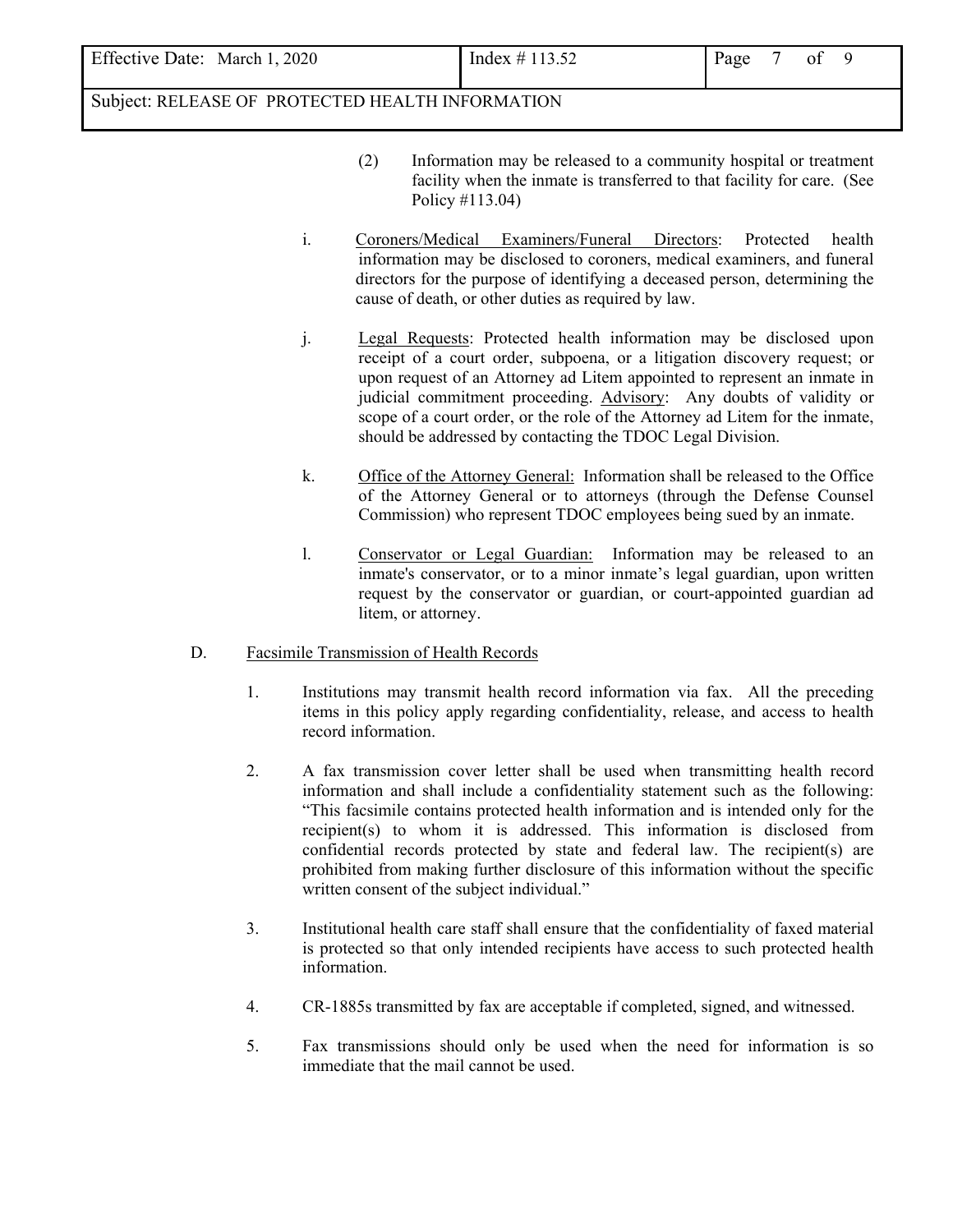Effective Date: March 1, 2020 Index  $\#$  113.52 Page 7 of 9

# Subject: RELEASE OF PROTECTED HEALTH INFORMATION

- (2) Information may be released to a community hospital or treatment facility when the inmate is transferred to that facility for care. (See Policy #113.04)
- i. Coroners/Medical Examiners/Funeral Directors: Protected health information may be disclosed to coroners, medical examiners, and funeral directors for the purpose of identifying a deceased person, determining the cause of death, or other duties as required by law.
- j. Legal Requests: Protected health information may be disclosed upon receipt of a court order, subpoena, or a litigation discovery request; or upon request of an Attorney ad Litem appointed to represent an inmate in judicial commitment proceeding. Advisory: Any doubts of validity or scope of a court order, or the role of the Attorney ad Litem for the inmate, should be addressed by contacting the TDOC Legal Division.
- k. Office of the Attorney General: Information shall be released to the Office of the Attorney General or to attorneys (through the Defense Counsel Commission) who represent TDOC employees being sued by an inmate.
- l. Conservator or Legal Guardian: Information may be released to an inmate's conservator, or to a minor inmate's legal guardian, upon written request by the conservator or guardian, or court-appointed guardian ad litem, or attorney.

## D. Facsimile Transmission of Health Records

- 1. Institutions may transmit health record information via fax. All the preceding items in this policy apply regarding confidentiality, release, and access to health record information.
- 2. A fax transmission cover letter shall be used when transmitting health record information and shall include a confidentiality statement such as the following: "This facsimile contains protected health information and is intended only for the recipient(s) to whom it is addressed. This information is disclosed from confidential records protected by state and federal law. The recipient(s) are prohibited from making further disclosure of this information without the specific written consent of the subject individual."
- 3. Institutional health care staff shall ensure that the confidentiality of faxed material is protected so that only intended recipients have access to such protected health information.
- 4. CR-1885s transmitted by fax are acceptable if completed, signed, and witnessed.
- 5. Fax transmissions should only be used when the need for information is so immediate that the mail cannot be used.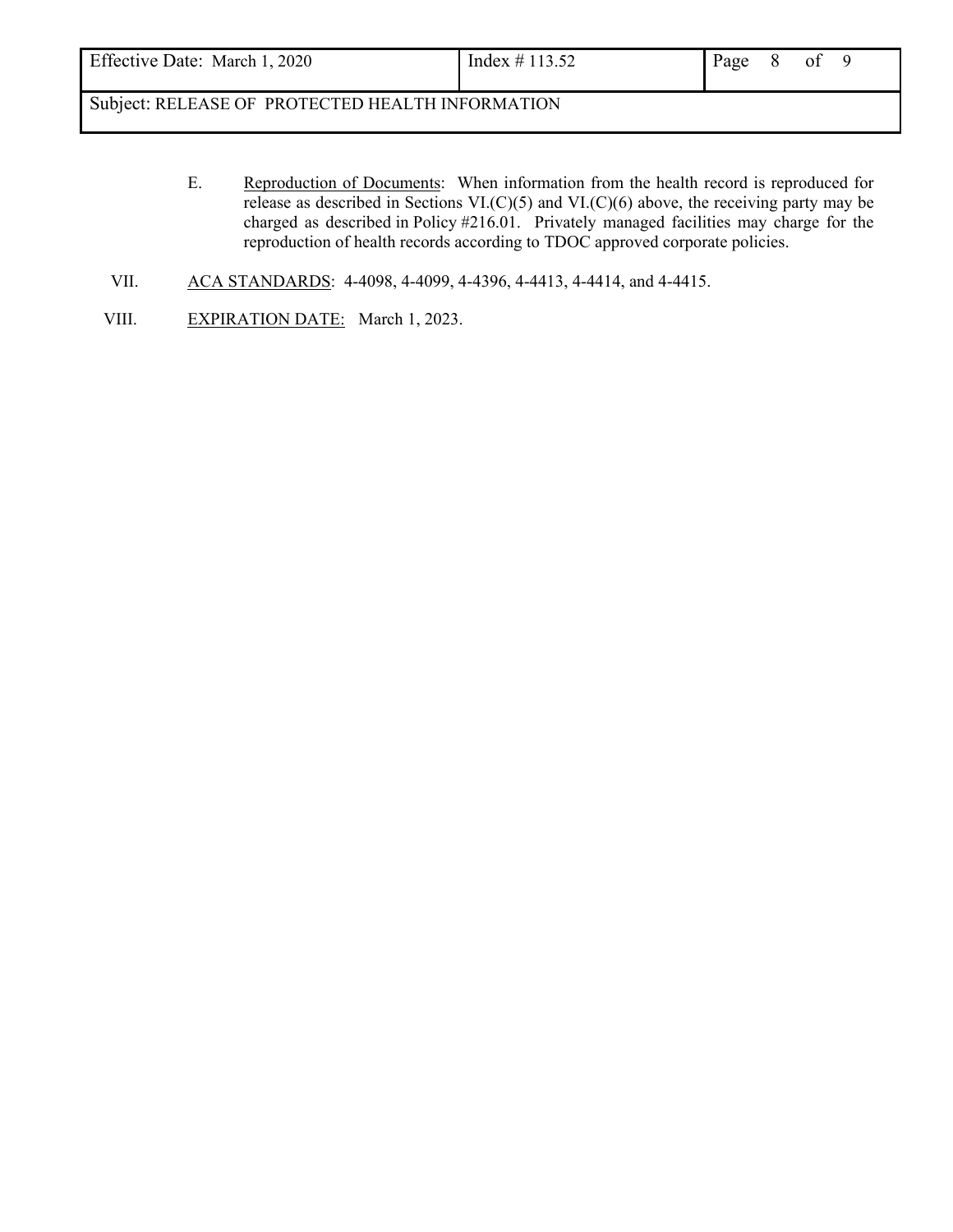| Effective Date: March 1, 2020<br>Index # 113.52<br>Page<br>ΟÌ |
|---------------------------------------------------------------|
|---------------------------------------------------------------|

- E. Reproduction of Documents: When information from the health record is reproduced for release as described in Sections VI.(C)(5) and VI.(C)(6) above, the receiving party may be charged as described in Policy #216.01. Privately managed facilities may charge for the reproduction of health records according to TDOC approved corporate policies.
- VII. ACA STANDARDS: 4-4098, 4-4099, 4-4396, 4-4413, 4-4414, and 4-4415.
- VIII. EXPIRATION DATE: March 1, 2023.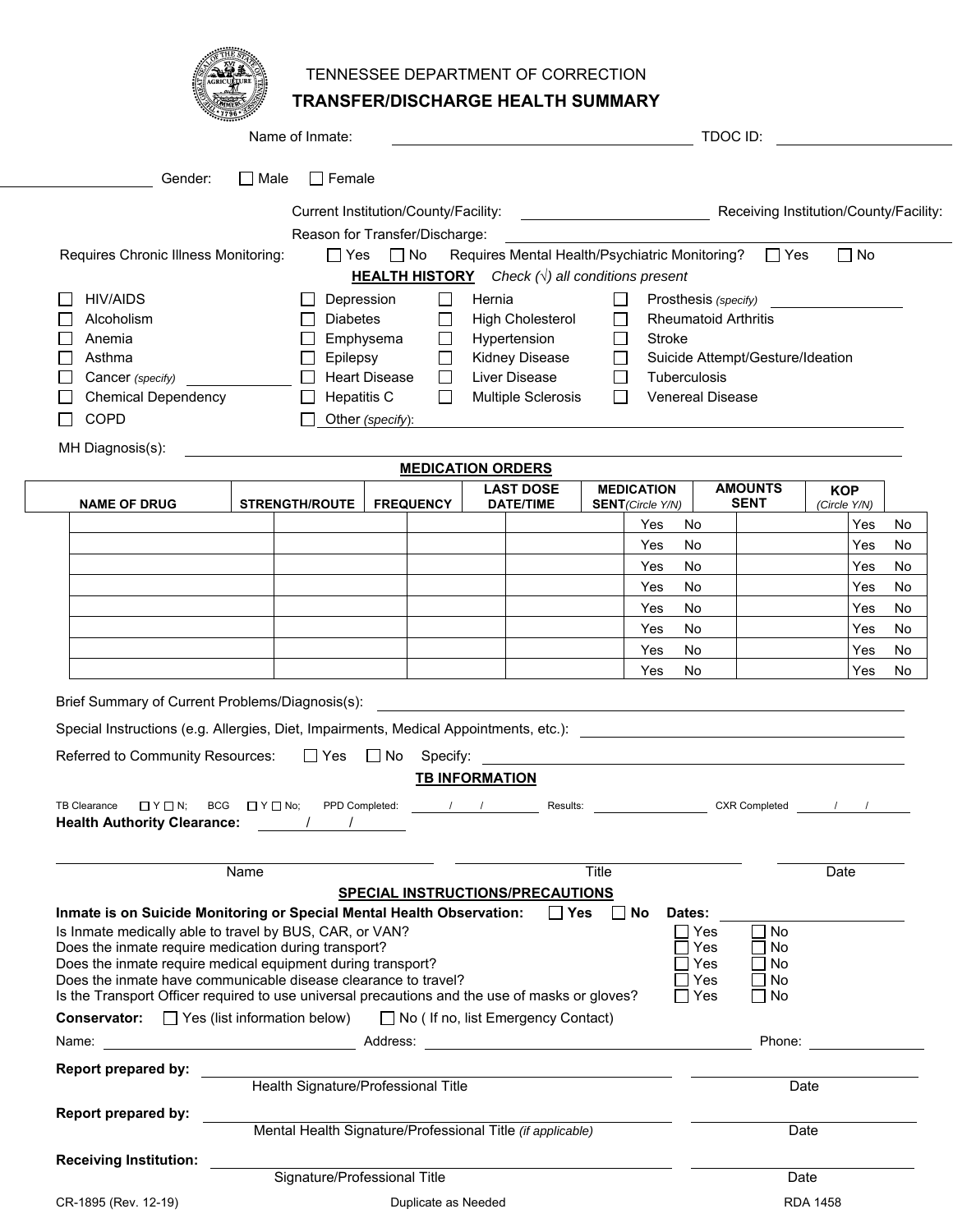| r.<br><del>.</del><br>ŧΕ |
|--------------------------|
|                          |

# TENNESSEE DEPARTMENT OF CORRECTION

**TRANSFER/DISCHARGE HEALTH SUMMARY**

|                                                                                                                                                                                                                                | Name of Inmate:                                            |                                                                |                                 |              |                          | TDOC ID:                                             |              |          |
|--------------------------------------------------------------------------------------------------------------------------------------------------------------------------------------------------------------------------------|------------------------------------------------------------|----------------------------------------------------------------|---------------------------------|--------------|--------------------------|------------------------------------------------------|--------------|----------|
| Gender:<br>∣ I Male                                                                                                                                                                                                            | $\Box$ Female                                              |                                                                |                                 |              |                          |                                                      |              |          |
|                                                                                                                                                                                                                                | Current Institution/County/Facility:                       |                                                                |                                 |              |                          | Receiving Institution/County/Facility:               |              |          |
|                                                                                                                                                                                                                                | Reason for Transfer/Discharge:                             |                                                                |                                 |              |                          |                                                      |              |          |
| Requires Chronic Illness Monitoring:                                                                                                                                                                                           | $\Box$ Yes $\Box$ No                                       |                                                                |                                 |              |                          | Requires Mental Health/Psychiatric Monitoring? □ Yes | $\Box$ No    |          |
|                                                                                                                                                                                                                                |                                                            | <b>HEALTH HISTORY</b> Check $(\sqrt{})$ all conditions present |                                 |              |                          |                                                      |              |          |
| <b>HIV/AIDS</b>                                                                                                                                                                                                                | Depression                                                 | $\Box$<br>Hernia                                               |                                 | $\Box$       |                          | Prosthesis (specify)                                 |              |          |
| Alcoholism                                                                                                                                                                                                                     | <b>Diabetes</b>                                            | $\Box$                                                         | <b>High Cholesterol</b>         | $\perp$      |                          | <b>Rheumatoid Arthritis</b>                          |              |          |
| Anemia                                                                                                                                                                                                                         | Emphysema                                                  | $\Box$                                                         | Hypertension                    | $\Box$       | Stroke                   |                                                      |              |          |
| Asthma<br>Cancer (specify)                                                                                                                                                                                                     | Epilepsy<br><b>Heart Disease</b>                           | $\Box$<br>$\Box$                                               | Kidney Disease<br>Liver Disease | $\Box$       | Tuberculosis             | Suicide Attempt/Gesture/Ideation                     |              |          |
| <b>Chemical Dependency</b>                                                                                                                                                                                                     | <b>Hepatitis C</b>                                         | $\Box$                                                         | <b>Multiple Sclerosis</b>       | $\mathsf{L}$ |                          | <b>Venereal Disease</b>                              |              |          |
| <b>COPD</b>                                                                                                                                                                                                                    | Other (specify):                                           |                                                                |                                 |              |                          |                                                      |              |          |
| MH Diagnosis(s):                                                                                                                                                                                                               |                                                            |                                                                |                                 |              |                          |                                                      |              |          |
|                                                                                                                                                                                                                                |                                                            | <b>MEDICATION ORDERS</b>                                       |                                 |              |                          |                                                      |              |          |
|                                                                                                                                                                                                                                |                                                            |                                                                | <b>LAST DOSE</b>                |              | <b>MEDICATION</b>        | <b>AMOUNTS</b>                                       | <b>KOP</b>   |          |
| <b>NAME OF DRUG</b>                                                                                                                                                                                                            | <b>STRENGTH/ROUTE</b>                                      | <b>FREQUENCY</b>                                               | <b>DATE/TIME</b>                |              | <b>SENT</b> (Circle Y/N) | <b>SENT</b>                                          | (Circle Y/N) |          |
|                                                                                                                                                                                                                                |                                                            |                                                                |                                 |              | Yes<br>No<br>No<br>Yes   |                                                      | Yes<br>Yes   | No<br>No |
|                                                                                                                                                                                                                                |                                                            |                                                                |                                 |              | No<br>Yes                |                                                      | Yes          | No       |
|                                                                                                                                                                                                                                |                                                            |                                                                |                                 |              | Yes<br>No                |                                                      | Yes          | No       |
|                                                                                                                                                                                                                                |                                                            |                                                                |                                 |              | No<br>Yes                |                                                      | Yes          | No       |
|                                                                                                                                                                                                                                |                                                            |                                                                |                                 |              | No<br>Yes                |                                                      | Yes          | No       |
|                                                                                                                                                                                                                                |                                                            |                                                                |                                 |              | No<br>Yes                |                                                      | Yes          | No       |
|                                                                                                                                                                                                                                |                                                            |                                                                |                                 |              | No<br>Yes                |                                                      | Yes          | No       |
| Brief Summary of Current Problems/Diagnosis(s):                                                                                                                                                                                |                                                            |                                                                |                                 |              |                          |                                                      |              |          |
| Special Instructions (e.g. Allergies, Diet, Impairments, Medical Appointments, etc.): [189] [2012] [2012] [2012] [2012] [2012] [2012] [2012] [2012] [2012] [2012] [2012] [2012] [2012] [2012] [2012] [2012] [2012] [2012] [201 |                                                            |                                                                |                                 |              |                          |                                                      |              |          |
| Referred to Community Resources:                                                                                                                                                                                               | $\Box$ Yes $\Box$ No                                       | Specify:                                                       |                                 |              |                          |                                                      |              |          |
|                                                                                                                                                                                                                                |                                                            | <b>TB INFORMATION</b>                                          |                                 |              |                          |                                                      |              |          |
|                                                                                                                                                                                                                                |                                                            |                                                                |                                 |              |                          |                                                      |              |          |
| $\Box$ Y $\Box$ N; BCG $\Box$ Y $\Box$ No;<br><b>Health Authority Clearance:</b>                                                                                                                                               | PPD Completed:                                             |                                                                | / / Results:                    |              |                          | <b>CXR Completed</b>                                 |              |          |
|                                                                                                                                                                                                                                |                                                            |                                                                |                                 |              |                          |                                                      |              |          |
| Name                                                                                                                                                                                                                           |                                                            |                                                                |                                 | Title        |                          |                                                      | Date         |          |
|                                                                                                                                                                                                                                |                                                            | <b>SPECIAL INSTRUCTIONS/PRECAUTIONS</b>                        |                                 |              |                          |                                                      |              |          |
| Inmate is on Suicide Monitoring or Special Mental Health Observation:                                                                                                                                                          |                                                            |                                                                |                                 | □ Yes □ No   | Dates:                   |                                                      |              |          |
| Is Inmate medically able to travel by BUS, CAR, or VAN?                                                                                                                                                                        |                                                            |                                                                |                                 |              | ∏ Yes                    | No                                                   |              |          |
| Does the inmate require medication during transport?<br>Does the inmate require medical equipment during transport?                                                                                                            |                                                            |                                                                |                                 |              |                          | Yes<br>$\Box$ No<br>Yes<br>$\Box$ No                 |              |          |
| Does the inmate have communicable disease clearance to travel?                                                                                                                                                                 |                                                            |                                                                |                                 |              |                          | $\Box$ No<br>Yes                                     |              |          |
| Is the Transport Officer required to use universal precautions and the use of masks or gloves?                                                                                                                                 |                                                            |                                                                |                                 |              | □ Yes                    | $\Box$ No                                            |              |          |
| <b>Conservator:</b> $\Box$ Yes (list information below) $\Box$ No ( If no, list Emergency Contact)                                                                                                                             |                                                            |                                                                |                                 |              |                          |                                                      |              |          |
| Name:                                                                                                                                                                                                                          |                                                            |                                                                |                                 |              |                          | Phone:                                               |              |          |
| Report prepared by:                                                                                                                                                                                                            | Health Signature/Professional Title                        |                                                                |                                 |              |                          |                                                      |              |          |
|                                                                                                                                                                                                                                |                                                            |                                                                |                                 |              |                          |                                                      | Date         |          |
| <b>Report prepared by:</b>                                                                                                                                                                                                     |                                                            |                                                                |                                 |              |                          |                                                      |              |          |
|                                                                                                                                                                                                                                | Mental Health Signature/Professional Title (if applicable) |                                                                |                                 |              |                          |                                                      | Date         |          |
| <b>Receiving Institution:</b>                                                                                                                                                                                                  | Signature/Professional Title                               |                                                                |                                 |              |                          |                                                      | Date         |          |
|                                                                                                                                                                                                                                |                                                            |                                                                |                                 |              |                          |                                                      |              |          |

CR-1895 (Rev. 12-19) CR-1895 (Rev. 12-19)